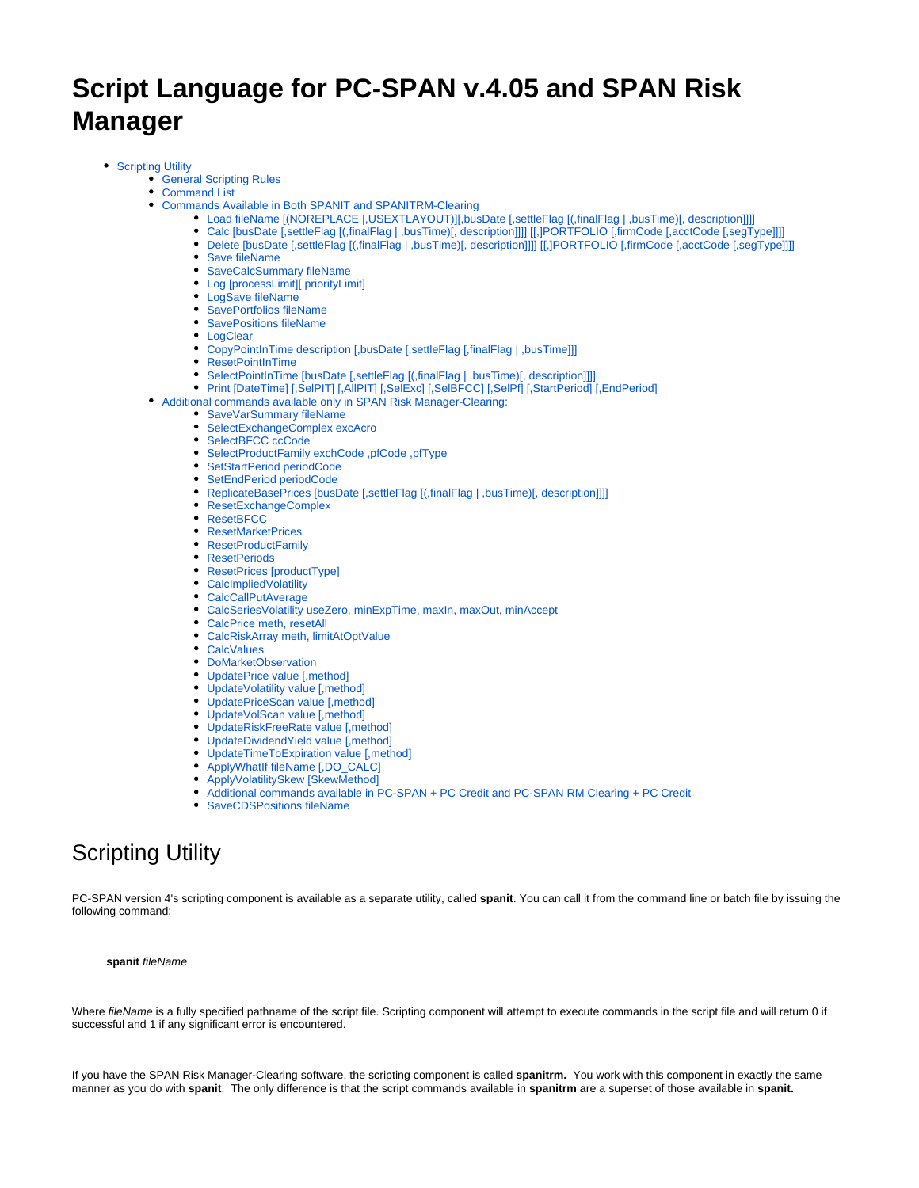# **Script Language for PC-SPAN v.4.05 and SPAN Risk Manager**

- [Scripting Utility](#page-0-0)
	- [General Scripting Rules](#page-0-1)
	- [Command List](#page-1-0)
	- [Commands Available in Both SPANIT and SPANITRM-Clearing](#page-1-1)
		- [Load fileName \[\(NOREPLACE |,USEXTLAYOUT\)\]\[,busDate \[,settleFlag \[\(,finalFlag | ,busTime\)\[, description\]\]\]\]](#page-1-2)
		- [Calc \[busDate \[,settleFlag \[\(,finalFlag | ,busTime\)\[, description\]\]\]\] \[\[,\]PORTFOLIO \[,firmCode \[,acctCode \[,segType\]\]\]\]](#page-2-0)
		- [Delete \[busDate \[,settleFlag \[\(,finalFlag | ,busTime\)\[, description\]\]\]\] \[\[,\]PORTFOLIO \[,firmCode \[,acctCode \[,segType\]\]\]\]](#page-2-1)
			- [Save fileName](#page-3-0)
			- [SaveCalcSummary fileName](#page-3-1)
			- [Log \[processLimit\]\[,priorityLimit\]](#page-4-0)
		- [LogSave fileName](#page-4-1)
		- [SavePortfolios fileName](#page-5-0)
		- [SavePositions fileName](#page-5-1)
		- [LogClear](#page-5-2)
		- [CopyPointInTime description \[,busDate \[,settleFlag \[,finalFlag | ,busTime\]\]\]](#page-5-3)
		- [ResetPointInTime](#page-6-0)
		- [SelectPointInTime \[busDate \[,settleFlag \[\(,finalFlag | ,busTime\)\[, description\]\]\]\]](#page-6-1)
		- [Print \[DateTime\] \[,SelPIT\] \[,AllPIT\] \[,SelExc\] \[,SelBFCC\] \[,SelPf\] \[,StartPeriod\] \[,EndPeriod\]](#page-6-2)
	- [Additional commands available only in SPAN Risk Manager-Clearing:](#page-7-0)
		- [SaveVarSummary fileName](#page-7-1)
		- [SelectExchangeComplex excAcro](#page-7-2)
		- [SelectBFCC ccCode](#page-7-3)
		- [SelectProductFamily exchCode ,pfCode ,pfType](#page-7-4)
		- [SetStartPeriod periodCode](#page-8-0)
		- [SetEndPeriod periodCode](#page-8-1)
		- [ReplicateBasePrices \[busDate \[,settleFlag \[\(,finalFlag | ,busTime\)\[, description\]\]\]\]](#page-8-2)
		- [ResetExchangeComplex](#page-9-0)
		- [ResetBFCC](#page-9-1)
		- **[ResetMarketPrices](#page-9-2)**
		- [ResetProductFamily](#page-9-3)
		- [ResetPeriods](#page-9-4)
		- [ResetPrices \[productType\]](#page-9-5)
		- [CalcImpliedVolatility](#page-10-0) • [CalcCallPutAverage](#page-10-1)
		- [CalcSeriesVolatility useZero, minExpTime, maxIn, maxOut, minAccept](#page-10-2)
		- [CalcPrice meth, resetAll](#page-11-0)
		- [CalcRiskArray meth, limitAtOptValue](#page-12-0)
		- [CalcValues](#page-12-1)
		- [DoMarketObservation](#page-12-2)
		- [UpdatePrice value \[,method\]](#page-12-3)
		- [UpdateVolatility value \[,method\]](#page-13-0)
		- [UpdatePriceScan value \[,method\]](#page-13-1)
		- [UpdateVolScan value \[,method\]](#page-13-2)
		- [UpdateRiskFreeRate value \[,method\]](#page-14-0)
		- UpdateDividendYield value [, method]
		- [UpdateTimeToExpiration value \[,method\]](#page-14-2)
		- [ApplyWhatIf fileName \[,DO\\_CALC\]](#page-15-0)
		- [ApplyVolatilitySkew \[SkewMethod\]](#page-15-1)
		- [Additional commands available in PC-SPAN + PC Credit and PC-SPAN RM Clearing + PC Credit](#page-16-0)
		- **[SaveCDSPositions fileName](#page-16-1)**

# <span id="page-0-0"></span>Scripting Utility

PC-SPAN version 4's scripting component is available as a separate utility, called spanit. You can call it from the command line or batch file by issuing the following command:

#### **spanit** fileName

Where fileName is a fully specified pathname of the script file. Scripting component will attempt to execute commands in the script file and will return 0 if successful and 1 if any significant error is encountered.

<span id="page-0-1"></span>If you have the SPAN Risk Manager-Clearing software, the scripting component is called **spanitrm.** You work with this component in exactly the same manner as you do with **spanit**. The only difference is that the script commands available in **spanitrm** are a superset of those available in **spanit.**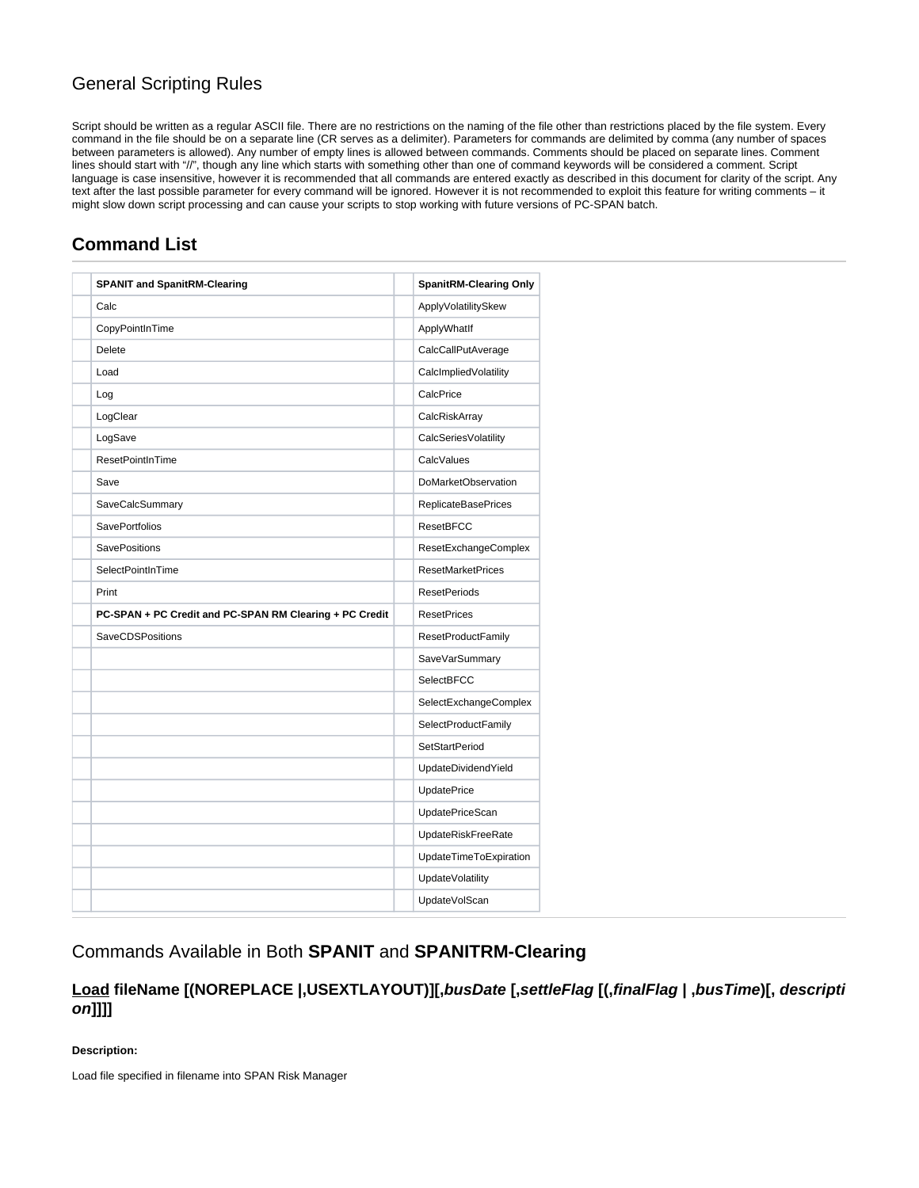## General Scripting Rules

Script should be written as a regular ASCII file. There are no restrictions on the naming of the file other than restrictions placed by the file system. Every command in the file should be on a separate line (CR serves as a delimiter). Parameters for commands are delimited by comma (any number of spaces between parameters is allowed). Any number of empty lines is allowed between commands. Comments should be placed on separate lines. Comment lines should start with "//", though any line which starts with something other than one of command keywords will be considered a comment. Script language is case insensitive, however it is recommended that all commands are entered exactly as described in this document for clarity of the script. Any text after the last possible parameter for every command will be ignored. However it is not recommended to exploit this feature for writing comments – it might slow down script processing and can cause your scripts to stop working with future versions of PC-SPAN batch.

## <span id="page-1-0"></span>**Command List**

| <b>SPANIT and SpanitRM-Clearing</b>                     | <b>SpanitRM-Clearing Only</b> |
|---------------------------------------------------------|-------------------------------|
| Calc                                                    | ApplyVolatilitySkew           |
| CopyPointInTime                                         | ApplyWhatIf                   |
| <b>Delete</b>                                           | CalcCallPutAverage            |
| Load                                                    | CalcImpliedVolatility         |
| Log                                                     | CalcPrice                     |
| LogClear                                                | CalcRiskArray                 |
| LogSave                                                 | <b>CalcSeriesVolatility</b>   |
| <b>ResetPointInTime</b>                                 | CalcValues                    |
| Save                                                    | <b>DoMarketObservation</b>    |
| SaveCalcSummary                                         | <b>ReplicateBasePrices</b>    |
| <b>SavePortfolios</b>                                   | <b>ResetBFCC</b>              |
| <b>SavePositions</b>                                    | ResetExchangeComplex          |
| SelectPointInTime                                       | <b>ResetMarketPrices</b>      |
| Print                                                   | <b>ResetPeriods</b>           |
| PC-SPAN + PC Credit and PC-SPAN RM Clearing + PC Credit | <b>ResetPrices</b>            |
| <b>SaveCDSPositions</b>                                 | <b>ResetProductFamily</b>     |
|                                                         | SaveVarSummary                |
|                                                         | SelectBFCC                    |
|                                                         | SelectExchangeComplex         |
|                                                         | SelectProductFamily           |
|                                                         | SetStartPeriod                |
|                                                         | UpdateDividendYield           |
|                                                         | <b>UpdatePrice</b>            |
|                                                         | <b>UpdatePriceScan</b>        |
|                                                         | UpdateRiskFreeRate            |
|                                                         | UpdateTimeToExpiration        |
|                                                         | <b>UpdateVolatility</b>       |
|                                                         | UpdateVolScan                 |

## <span id="page-1-1"></span>Commands Available in Both **SPANIT** and **SPANITRM-Clearing**

## <span id="page-1-2"></span>**Load fileName [(NOREPLACE |,USEXTLAYOUT)][,busDate [,settleFlag [(,finalFlag | ,busTime)[, descripti on]]]]**

### **Description:**

Load file specified in filename into SPAN Risk Manager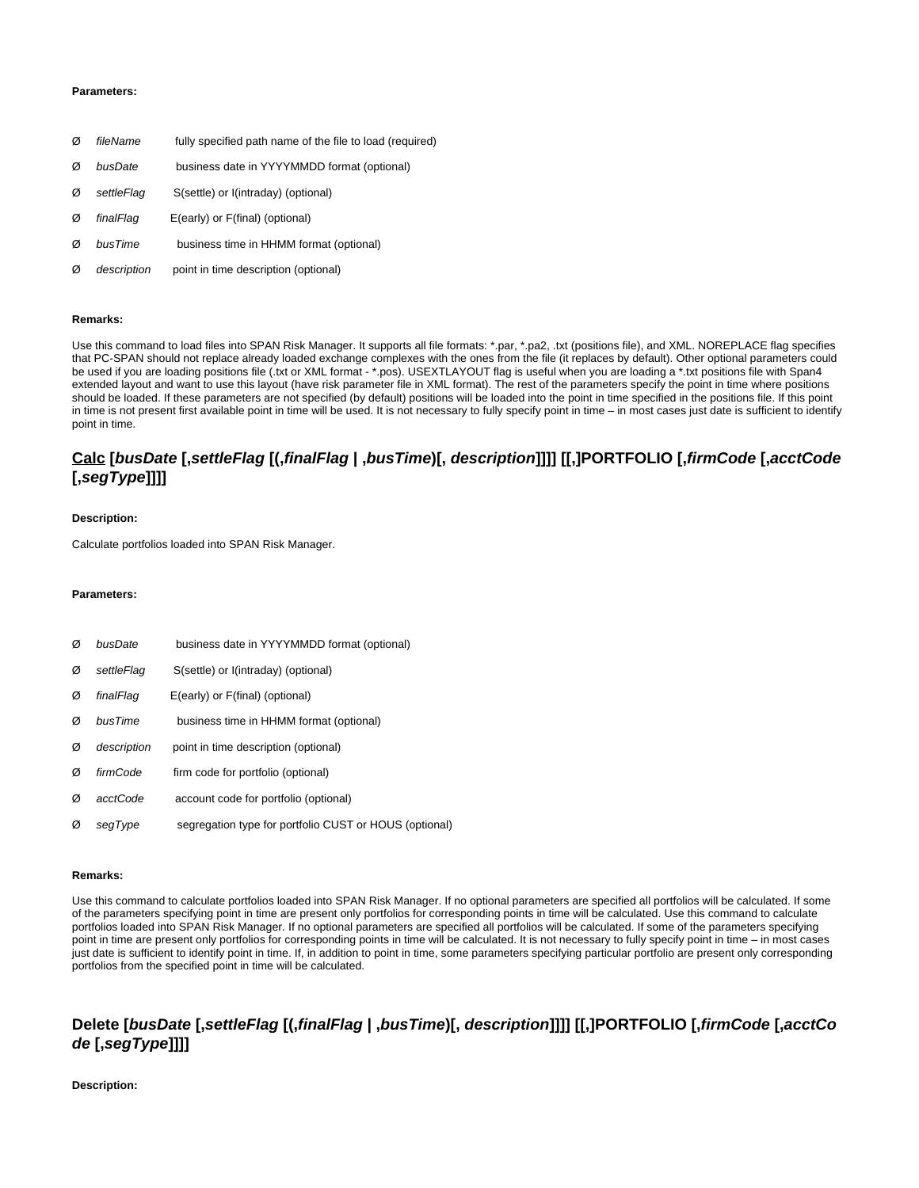### **Parameters:**

- Ø fileName fully specified path name of the file to load (required)
- Ø busDate business date in YYYYMMDD format (optional)
- Ø settleFlag S(settle) or I(intraday) (optional)
- Ø finalFlag E(early) or F(final) (optional)
- Ø busTime business time in HHMM format (optional)
- Ø description point in time description (optional)

### **Remarks:**

Use this command to load files into SPAN Risk Manager. It supports all file formats: \*.par, \*.pa2, .txt (positions file), and XML. NOREPLACE flag specifies that PC-SPAN should not replace already loaded exchange complexes with the ones from the file (it replaces by default). Other optional parameters could be used if you are loading positions file (.txt or XML format - \*.pos). USEXTLAYOUT flag is useful when you are loading a \*.txt positions file with Span4 extended layout and want to use this layout (have risk parameter file in XML format). The rest of the parameters specify the point in time where positions should be loaded. If these parameters are not specified (by default) positions will be loaded into the point in time specified in the positions file. If this point in time is not present first available point in time will be used. It is not necessary to fully specify point in time – in most cases just date is sufficient to identify point in time.

## <span id="page-2-0"></span>**Calc [busDate [,settleFlag [(,finalFlag | ,busTime)[, description]]]] [[,]PORTFOLIO [,firmCode [,acctCode [,segType]]]]**

### **Description:**

Calculate portfolios loaded into SPAN Risk Manager.

### **Parameters:**

| Ø | busDate     | business date in YYYYMMDD format (optional)            |
|---|-------------|--------------------------------------------------------|
| Ø | settleFlag  | S(settle) or I(intraday) (optional)                    |
| Ø | finalFlag   | E(early) or F(final) (optional)                        |
| Ø | busTime     | business time in HHMM format (optional)                |
| Ø | description | point in time description (optional)                   |
| Ø | firmCode    | firm code for portfolio (optional)                     |
| Ø | acctCode    | account code for portfolio (optional)                  |
| Ø | seqType     | segregation type for portfolio CUST or HOUS (optional) |

### **Remarks:**

Use this command to calculate portfolios loaded into SPAN Risk Manager. If no optional parameters are specified all portfolios will be calculated. If some of the parameters specifying point in time are present only portfolios for corresponding points in time will be calculated. Use this command to calculate portfolios loaded into SPAN Risk Manager. If no optional parameters are specified all portfolios will be calculated. If some of the parameters specifying point in time are present only portfolios for corresponding points in time will be calculated. It is not necessary to fully specify point in time – in most cases just date is sufficient to identify point in time. If, in addition to point in time, some parameters specifying particular portfolio are present only corresponding portfolios from the specified point in time will be calculated.

## <span id="page-2-1"></span>**Delete [busDate [,settleFlag [(,finalFlag | ,busTime)[, description]]]] [[,]PORTFOLIO [,firmCode [,acctCo de [,segType]]]]**

**Description:**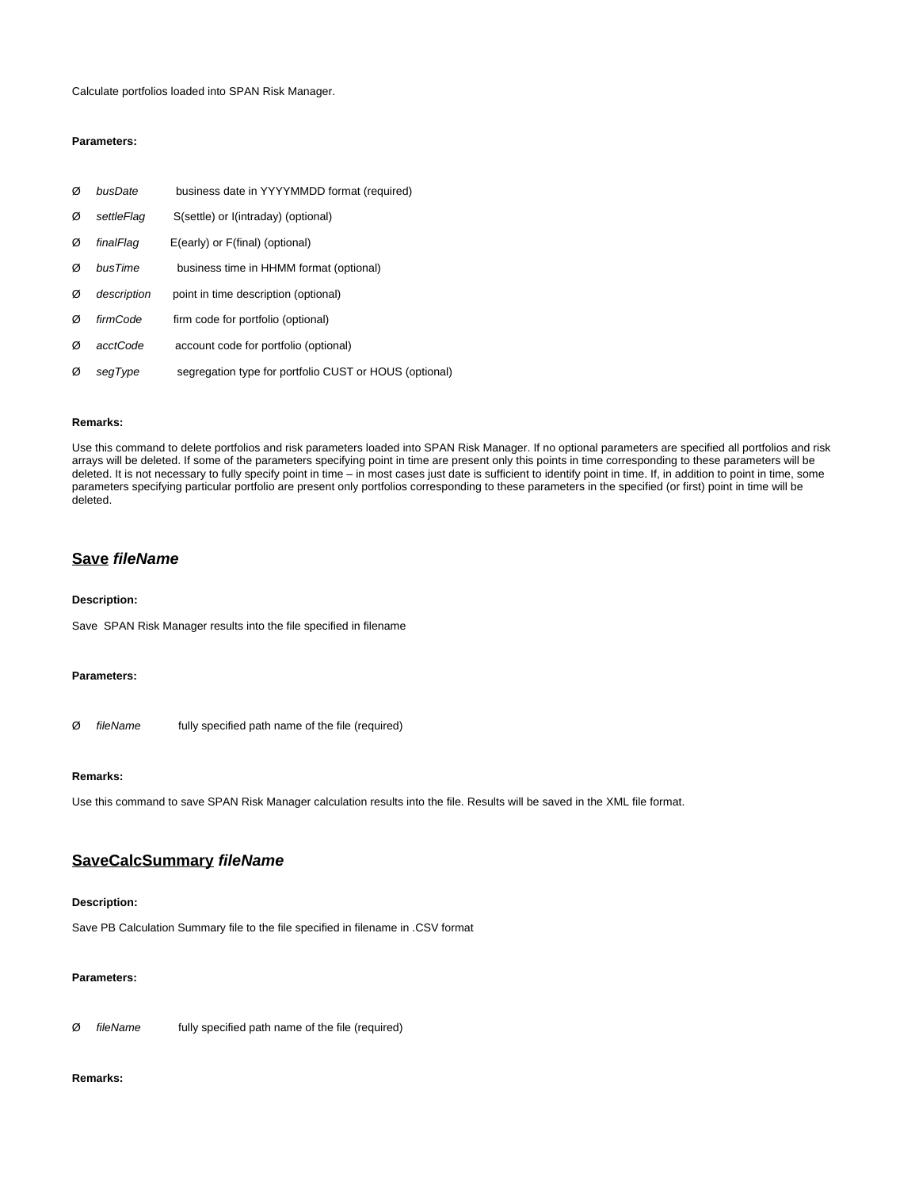Calculate portfolios loaded into SPAN Risk Manager.

### **Parameters:**

| Ø | busDate     | business date in YYYYMMDD format (required)            |
|---|-------------|--------------------------------------------------------|
| Ø | settleFlag  | S(settle) or I(intraday) (optional)                    |
| Ø | finalFlag   | E(early) or F(final) (optional)                        |
| Ø | busTime     | business time in HHMM format (optional)                |
| Ø | description | point in time description (optional)                   |
| Ø | firmCode    | firm code for portfolio (optional)                     |
| Ø | acctCode    | account code for portfolio (optional)                  |
| Ø | seqType     | segregation type for portfolio CUST or HOUS (optional) |

### **Remarks:**

Use this command to delete portfolios and risk parameters loaded into SPAN Risk Manager. If no optional parameters are specified all portfolios and risk arrays will be deleted. If some of the parameters specifying point in time are present only this points in time corresponding to these parameters will be deleted. It is not necessary to fully specify point in time – in most cases just date is sufficient to identify point in time. If, in addition to point in time, some parameters specifying particular portfolio are present only portfolios corresponding to these parameters in the specified (or first) point in time will be deleted.

### <span id="page-3-0"></span>**Save fileName**

### **Description:**

Save SPAN Risk Manager results into the file specified in filename

### **Parameters:**

Ø fileName fully specified path name of the file (required)

### **Remarks:**

Use this command to save SPAN Risk Manager calculation results into the file. Results will be saved in the XML file format.

## <span id="page-3-1"></span>**SaveCalcSummary fileName**

### **Description:**

Save PB Calculation Summary file to the file specified in filename in .CSV format

### **Parameters:**

Ø fileName fully specified path name of the file (required)

### **Remarks:**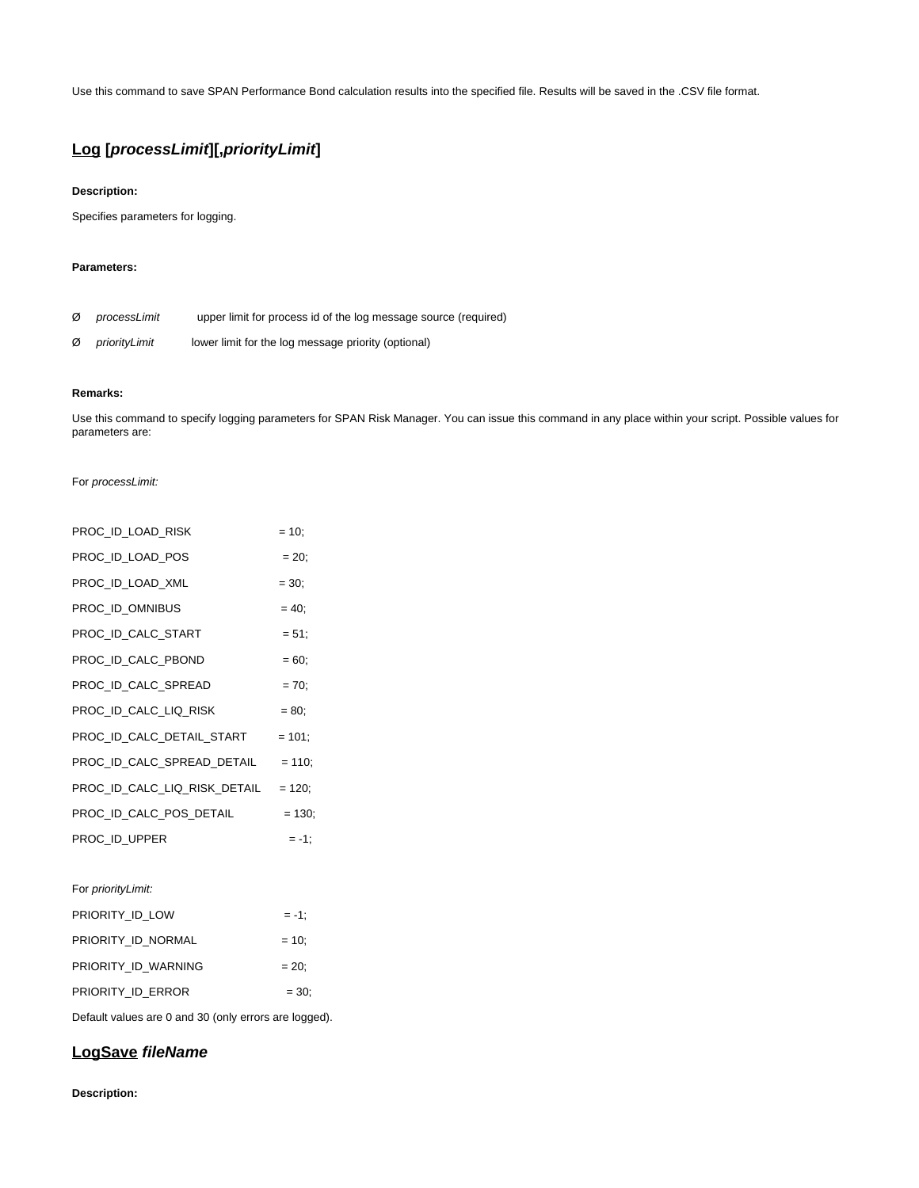Use this command to save SPAN Performance Bond calculation results into the specified file. Results will be saved in the .CSV file format.

## <span id="page-4-0"></span>**Log [processLimit][,priorityLimit]**

### **Description:**

Specifies parameters for logging.

### **Parameters:**

| Ø processLimit | upper limit for process id of the log message source (required) |
|----------------|-----------------------------------------------------------------|
|                |                                                                 |

Ø priorityLimit lower limit for the log message priority (optional)

### **Remarks:**

Use this command to specify logging parameters for SPAN Risk Manager. You can issue this command in any place within your script. Possible values for parameters are:

### For processLimit:

| PROC ID LOAD RISK                    | $= 10$    |
|--------------------------------------|-----------|
| PROC_ID_LOAD_POS                     | $= 20$ ;  |
| PROC_ID_LOAD_XML                     | $= 30;$   |
| PROC ID OMNIBUS                      | $= 40;$   |
| PROC ID CALC START                   | $= 51:$   |
| PROC_ID_CALC_PBOND                   | $= 60;$   |
| PROC ID CALC SPREAD                  | $= 70$ ;  |
| PROC_ID_CALC_LIQ_RISK                | $= 80$    |
| PROC ID CALC DETAIL START            | $= 101$ ; |
| PROC ID CALC SPREAD DETAIL $= 110$ ; |           |
| PROC_ID_CALC_LIQ_RISK_DETAIL = 120;  |           |
| PROC ID CALC POS DETAIL              | $= 130$ ; |
| PROC ID UPPER                        | $= -1$ :  |

For priorityLimit:

| PRIORITY ID LOW     | $= -1$ ; |
|---------------------|----------|
| PRIORITY ID NORMAL  | $= 10$   |
| PRIORITY ID WARNING | $= 20$ : |
| PRIORITY ID ERROR   | $= 30$   |

Default values are 0 and 30 (only errors are logged).

## <span id="page-4-1"></span>**LogSave fileName**

### **Description:**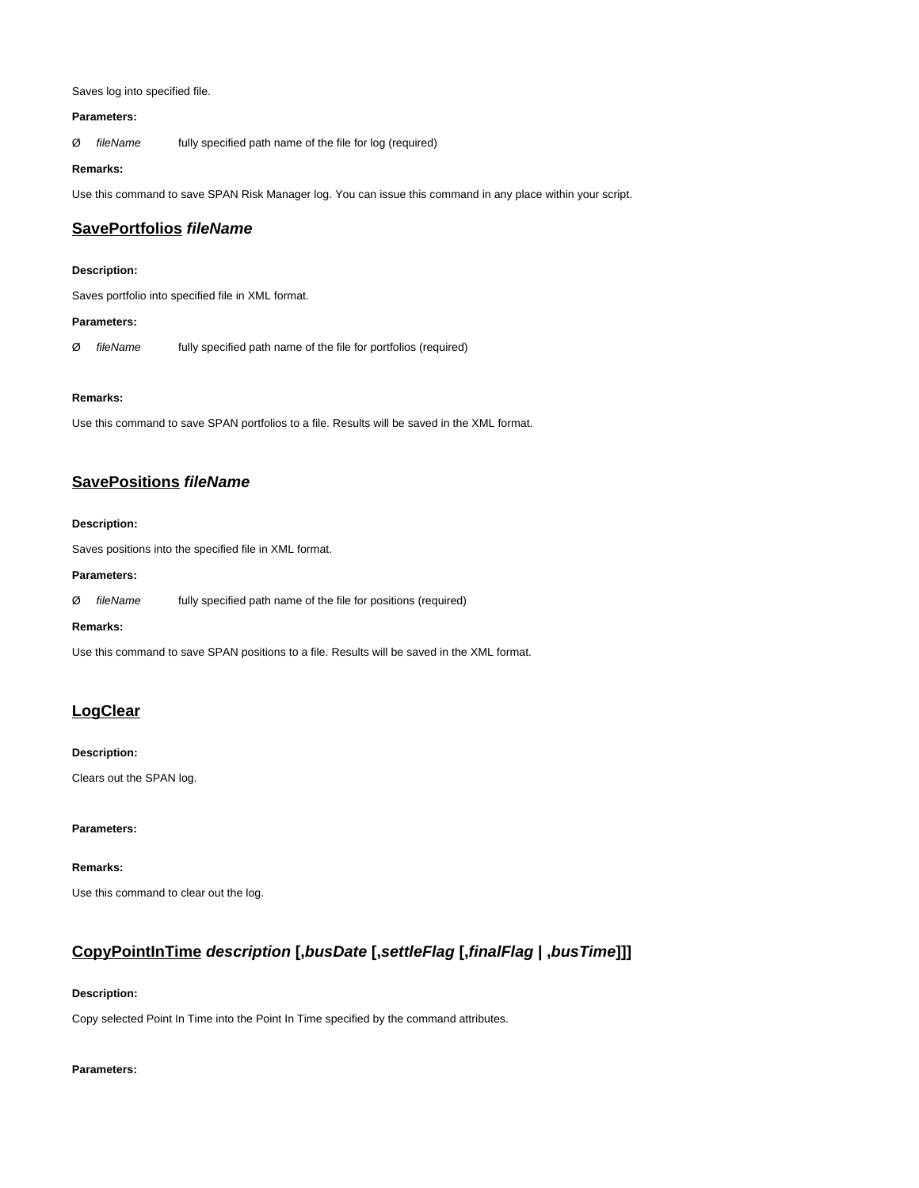### Saves log into specified file.

### **Parameters:**

Ø fileName fully specified path name of the file for log (required)

### **Remarks:**

Use this command to save SPAN Risk Manager log. You can issue this command in any place within your script.

## <span id="page-5-0"></span>**SavePortfolios fileName**

### **Description:**

Saves portfolio into specified file in XML format.

### **Parameters:**

Ø fileName fully specified path name of the file for portfolios (required)

### **Remarks:**

Use this command to save SPAN portfolios to a file. Results will be saved in the XML format.

## <span id="page-5-1"></span>**SavePositions fileName**

### **Description:**

Saves positions into the specified file in XML format.

### **Parameters:**

Ø fileName fully specified path name of the file for positions (required)

### **Remarks:**

Use this command to save SPAN positions to a file. Results will be saved in the XML format.

## <span id="page-5-2"></span>**LogClear**

### **Description:**

Clears out the SPAN log.

### **Parameters:**

**Remarks:**

Use this command to clear out the log.

## <span id="page-5-3"></span>**CopyPointInTime description [,busDate [,settleFlag [,finalFlag | ,busTime]]]**

### **Description:**

Copy selected Point In Time into the Point In Time specified by the command attributes.

### **Parameters:**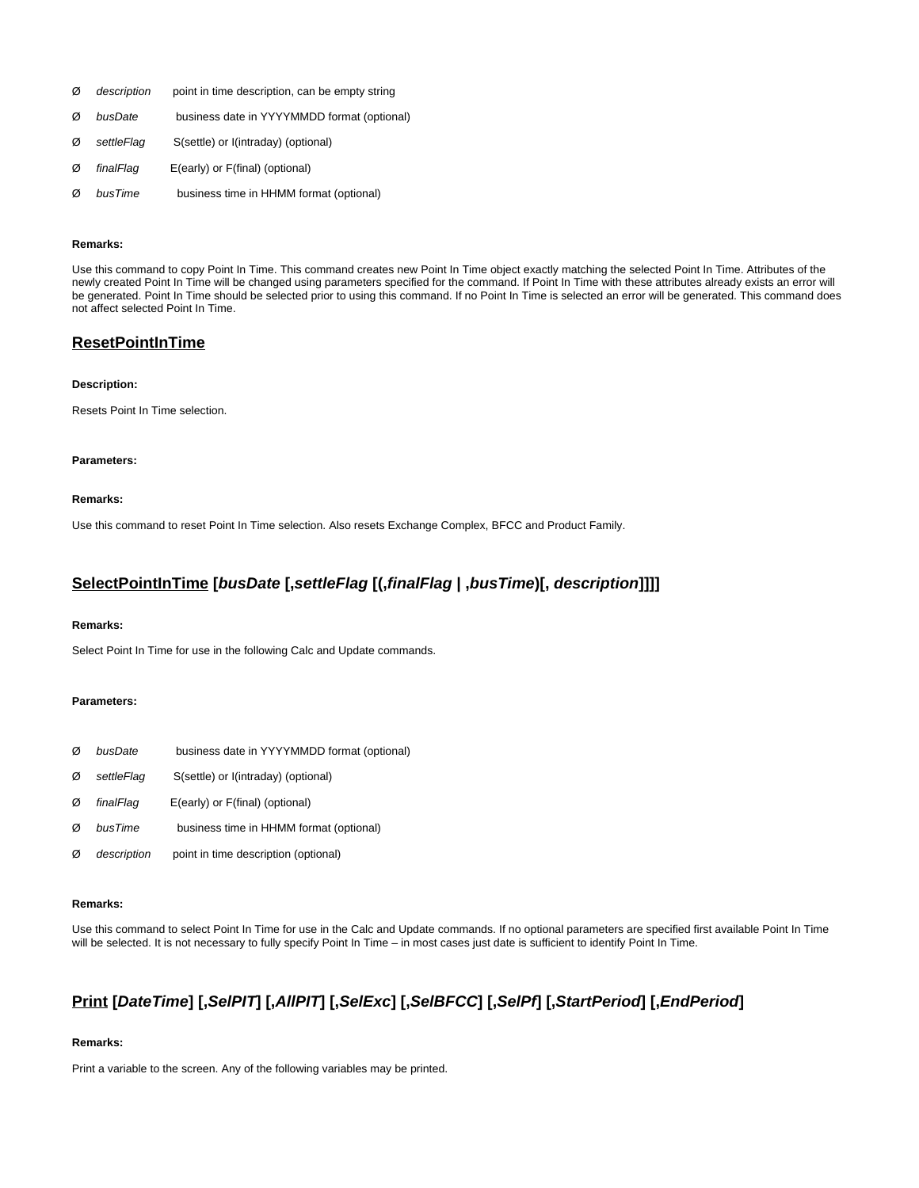- Ø description point in time description, can be empty string
- Ø busDate business date in YYYYMMDD format (optional)
- Ø settleFlag S(settle) or I(intraday) (optional)
- Ø finalFlag E(early) or F(final) (optional)
- Ø busTime business time in HHMM format (optional)

### **Remarks:**

Use this command to copy Point In Time. This command creates new Point In Time object exactly matching the selected Point In Time. Attributes of the newly created Point In Time will be changed using parameters specified for the command. If Point In Time with these attributes already exists an error will be generated. Point In Time should be selected prior to using this command. If no Point In Time is selected an error will be generated. This command does not affect selected Point In Time.

## <span id="page-6-0"></span>**ResetPointInTime**

### **Description:**

Resets Point In Time selection.

### **Parameters:**

### **Remarks:**

Use this command to reset Point In Time selection. Also resets Exchange Complex, BFCC and Product Family.

### <span id="page-6-1"></span>**SelectPointInTime [busDate [,settleFlag [(,finalFlag | ,busTime)[, description]]]]**

#### **Remarks:**

Select Point In Time for use in the following Calc and Update commands.

### **Parameters:**

| Ø | busDate     | business date in YYYYMMDD format (optional) |
|---|-------------|---------------------------------------------|
| Ø | settleFlag  | S(settle) or I(intraday) (optional)         |
| Ø | finalFlag   | E(early) or F(final) (optional)             |
| Ø | busTime     | business time in HHMM format (optional)     |
| Ø | description | point in time description (optional)        |

### **Remarks:**

Use this command to select Point In Time for use in the Calc and Update commands. If no optional parameters are specified first available Point In Time will be selected. It is not necessary to fully specify Point In Time – in most cases just date is sufficient to identify Point In Time.

## <span id="page-6-2"></span>**Print [DateTime] [,SelPIT] [,AllPIT] [,SelExc] [,SelBFCC] [,SelPf] [,StartPeriod] [,EndPeriod]**

### **Remarks:**

Print a variable to the screen. Any of the following variables may be printed.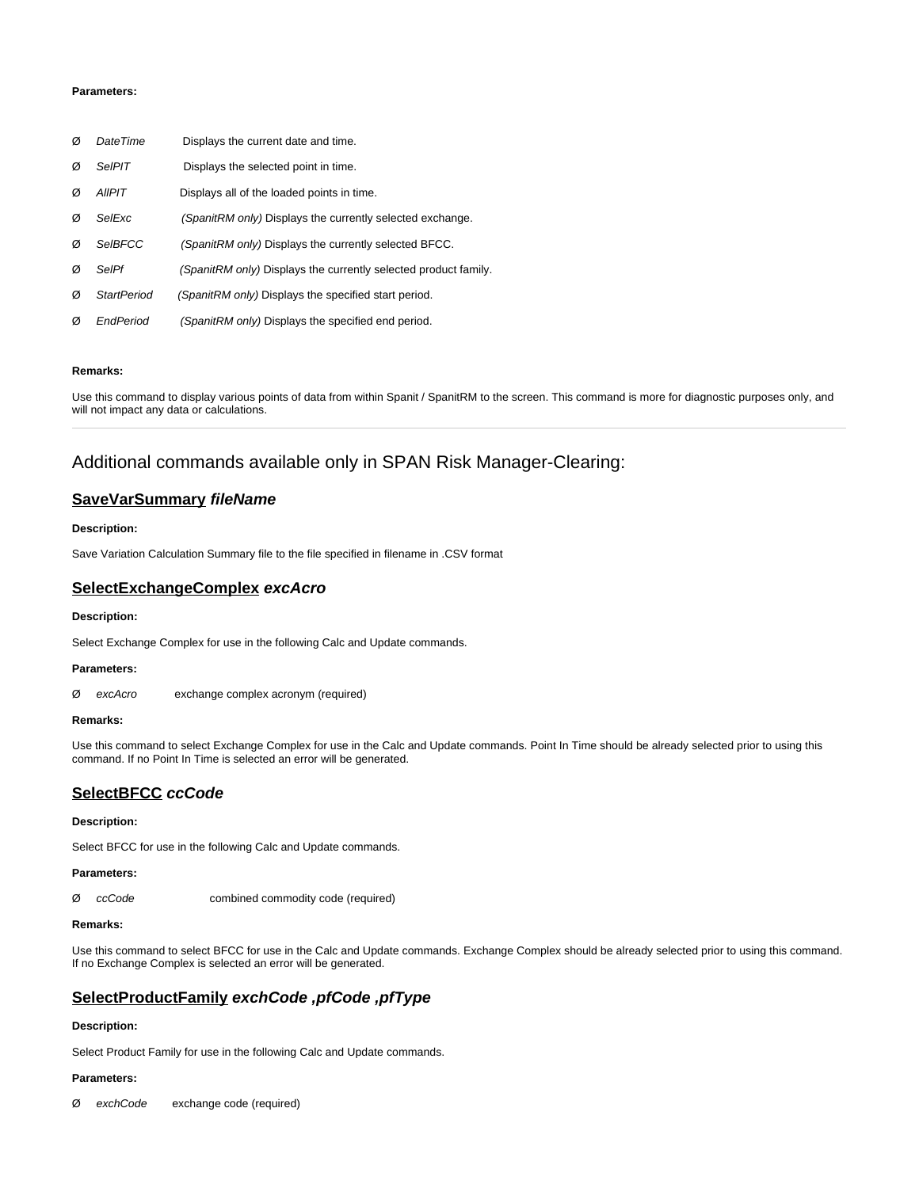### **Parameters:**

| Ø | DateTime           | Displays the current date and time.                             |
|---|--------------------|-----------------------------------------------------------------|
| Ø | <b>SelPIT</b>      | Displays the selected point in time.                            |
| Ø | <b>AIIPIT</b>      | Displays all of the loaded points in time.                      |
| Ø | SelExc             | (SpanitRM only) Displays the currently selected exchange.       |
| Ø | <b>SeIBFCC</b>     | (SpanitRM only) Displays the currently selected BFCC.           |
| Ø | SelPf              | (SpanitRM only) Displays the currently selected product family. |
| Ø | <b>StartPeriod</b> | (SpanitRM only) Displays the specified start period.            |
| Ø | EndPeriod          | (SpanitRM only) Displays the specified end period.              |

### **Remarks:**

Use this command to display various points of data from within Spanit / SpanitRM to the screen. This command is more for diagnostic purposes only, and will not impact any data or calculations.

## <span id="page-7-0"></span>Additional commands available only in SPAN Risk Manager-Clearing:

## <span id="page-7-1"></span>**SaveVarSummary fileName**

### **Description:**

Save Variation Calculation Summary file to the file specified in filename in .CSV format

## <span id="page-7-2"></span>**SelectExchangeComplex excAcro**

### **Description:**

Select Exchange Complex for use in the following Calc and Update commands.

### **Parameters:**

Ø excAcro exchange complex acronym (required)

### **Remarks:**

Use this command to select Exchange Complex for use in the Calc and Update commands. Point In Time should be already selected prior to using this command. If no Point In Time is selected an error will be generated.

## <span id="page-7-3"></span>**SelectBFCC ccCode**

### **Description:**

Select BFCC for use in the following Calc and Update commands.

### **Parameters:**

Ø ccCode combined commodity code (required)

#### **Remarks:**

Use this command to select BFCC for use in the Calc and Update commands. Exchange Complex should be already selected prior to using this command. If no Exchange Complex is selected an error will be generated.

## <span id="page-7-4"></span>**SelectProductFamily exchCode ,pfCode ,pfType**

## **Description:**

Select Product Family for use in the following Calc and Update commands.

### **Parameters:**

Ø exchCode exchange code (required)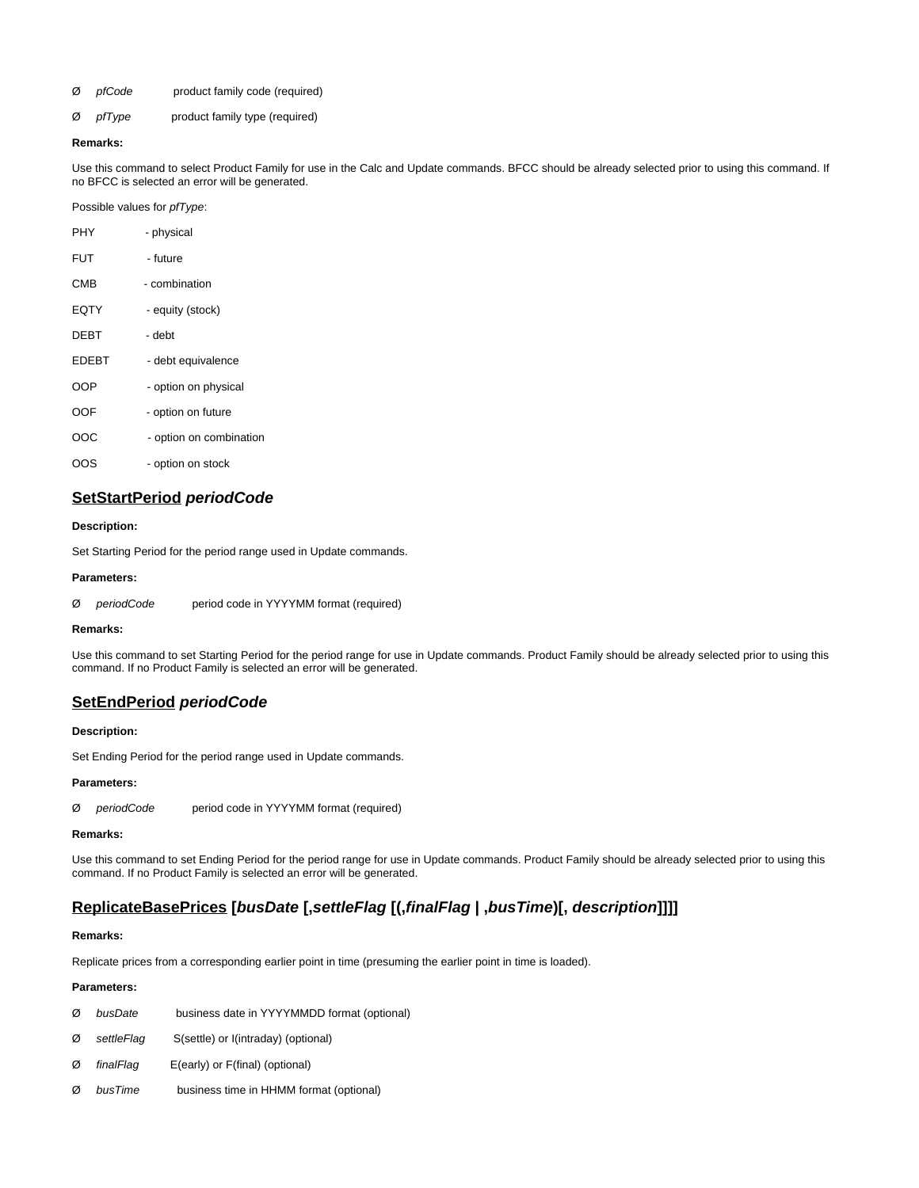- Ø pfCode product family code (required)
- Ø pfType product family type (required)

### **Remarks:**

Use this command to select Product Family for use in the Calc and Update commands. BFCC should be already selected prior to using this command. If no BFCC is selected an error will be generated.

Possible values for pfType:

| PHY          | - physical              |
|--------------|-------------------------|
| <b>FUT</b>   | - future                |
| СМВ          | - combination           |
| EQTY         | - equity (stock)        |
| DEBT         | - debt                  |
| <b>EDEBT</b> | - debt equivalence      |
| <b>OOP</b>   | - option on physical    |
| OOF          | - option on future      |
| റററ          | - option on combination |
| OOS          | - option on stock       |

## <span id="page-8-0"></span>**SetStartPeriod periodCode**

### **Description:**

Set Starting Period for the period range used in Update commands.

### **Parameters:**

Ø periodCode period code in YYYYMM format (required)

### **Remarks:**

Use this command to set Starting Period for the period range for use in Update commands. Product Family should be already selected prior to using this command. If no Product Family is selected an error will be generated.

## <span id="page-8-1"></span>**SetEndPeriod periodCode**

#### **Description:**

Set Ending Period for the period range used in Update commands.

### **Parameters:**

Ø periodCode period code in YYYYMM format (required)

### **Remarks:**

Use this command to set Ending Period for the period range for use in Update commands. Product Family should be already selected prior to using this command. If no Product Family is selected an error will be generated.

## <span id="page-8-2"></span>**ReplicateBasePrices [busDate [,settleFlag [(,finalFlag | ,busTime)[, description]]]]**

### **Remarks:**

Replicate prices from a corresponding earlier point in time (presuming the earlier point in time is loaded).

### **Parameters:**

| Ø | busDate | business date in YYYYMMDD format (optional) |  |  |  |
|---|---------|---------------------------------------------|--|--|--|
|   |         |                                             |  |  |  |

- Ø settleFlag S(settle) or I(intraday) (optional)
- Ø finalFlag E(early) or F(final) (optional)
- Ø busTime business time in HHMM format (optional)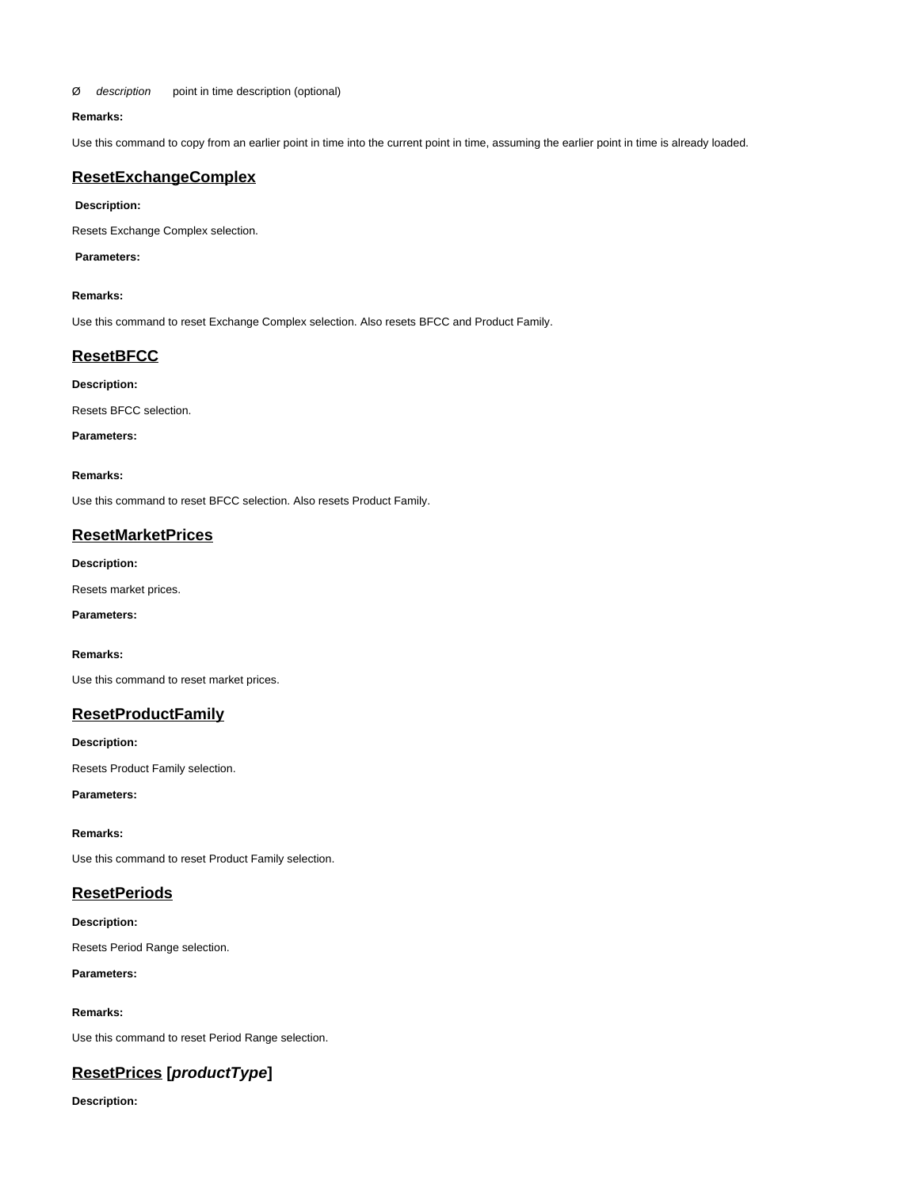### Ø description point in time description (optional)

### **Remarks:**

Use this command to copy from an earlier point in time into the current point in time, assuming the earlier point in time is already loaded.

## <span id="page-9-0"></span>**ResetExchangeComplex**

### **Description:**

Resets Exchange Complex selection.

### **Parameters:**

### **Remarks:**

Use this command to reset Exchange Complex selection. Also resets BFCC and Product Family.

## <span id="page-9-1"></span>**ResetBFCC**

**Description:**

Resets BFCC selection.

**Parameters:**

### **Remarks:**

Use this command to reset BFCC selection. Also resets Product Family.

## <span id="page-9-2"></span>**ResetMarketPrices**

**Description:**

Resets market prices.

**Parameters:**

**Remarks:**

Use this command to reset market prices.

## <span id="page-9-3"></span>**ResetProductFamily**

**Description:**

Resets Product Family selection.

### **Parameters:**

### **Remarks:**

Use this command to reset Product Family selection.

### <span id="page-9-4"></span>**ResetPeriods**

### **Description:**

Resets Period Range selection.

**Parameters:**

### **Remarks:**

Use this command to reset Period Range selection.

## <span id="page-9-5"></span>**ResetPrices [productType]**

**Description:**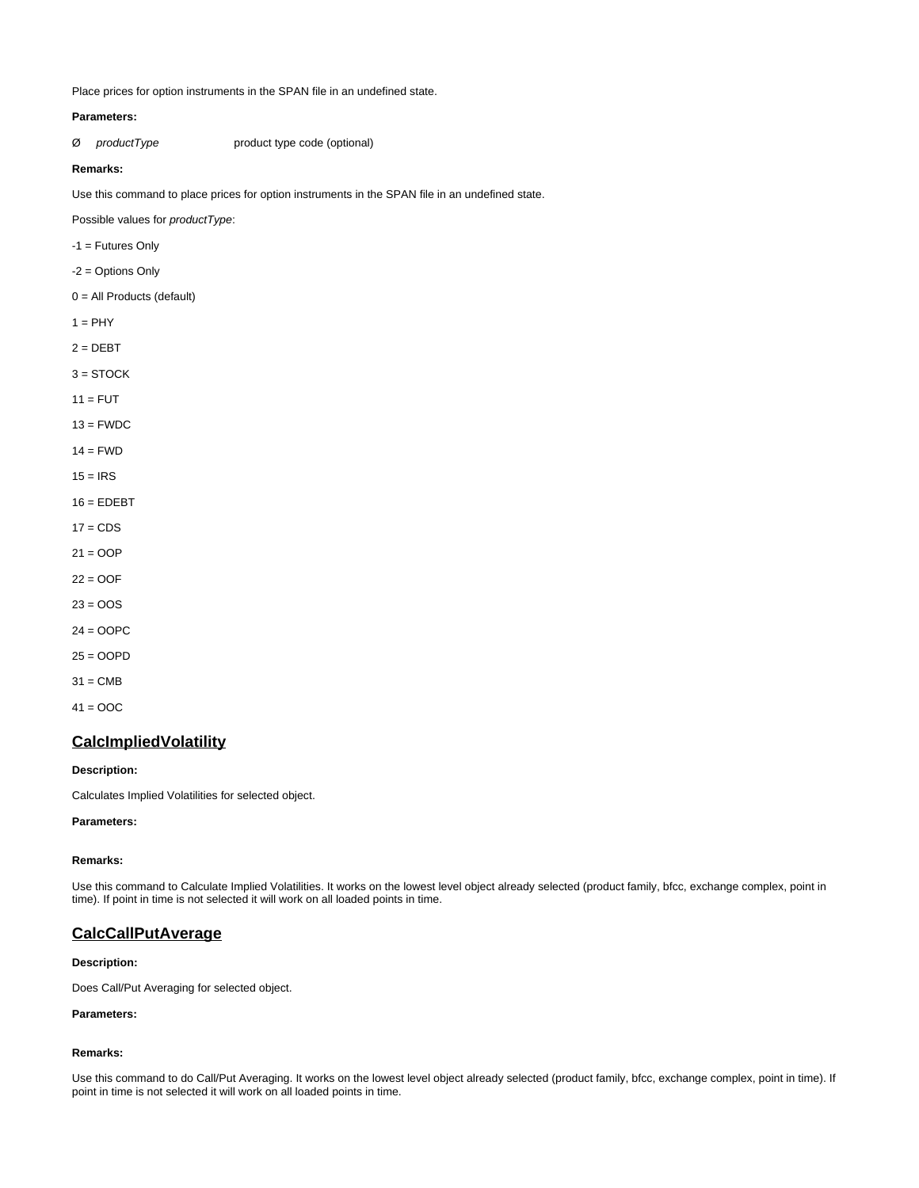Place prices for option instruments in the SPAN file in an undefined state.

### **Parameters:**

Ø productType product type code (optional)

### **Remarks:**

Use this command to place prices for option instruments in the SPAN file in an undefined state.

Possible values for productType:

- -1 = Futures Only
- -2 = Options Only
- 0 = All Products (default)
- $1 = PHY$
- $2 = DEBT$
- $3 =$ STOCK
- $11 = FUT$
- $13$  = FWDC
- $14 = FWD$
- $15 = IRS$
- $16 = EDEBT$
- $17 = CDS$
- $21 = OOP$
- $22 = OOF$
- $23 = OOS$
- $24 = OOPC$
- $25 = OOPD$
- $31 = CMB$
- $41 = OOC$

## <span id="page-10-0"></span>**CalcImpliedVolatility**

### **Description:**

Calculates Implied Volatilities for selected object.

### **Parameters:**

### **Remarks:**

Use this command to Calculate Implied Volatilities. It works on the lowest level object already selected (product family, bfcc, exchange complex, point in time). If point in time is not selected it will work on all loaded points in time.

### <span id="page-10-1"></span>**CalcCallPutAverage**

### **Description:**

Does Call/Put Averaging for selected object.

### **Parameters:**

### **Remarks:**

<span id="page-10-2"></span>Use this command to do Call/Put Averaging. It works on the lowest level object already selected (product family, bfcc, exchange complex, point in time). If point in time is not selected it will work on all loaded points in time.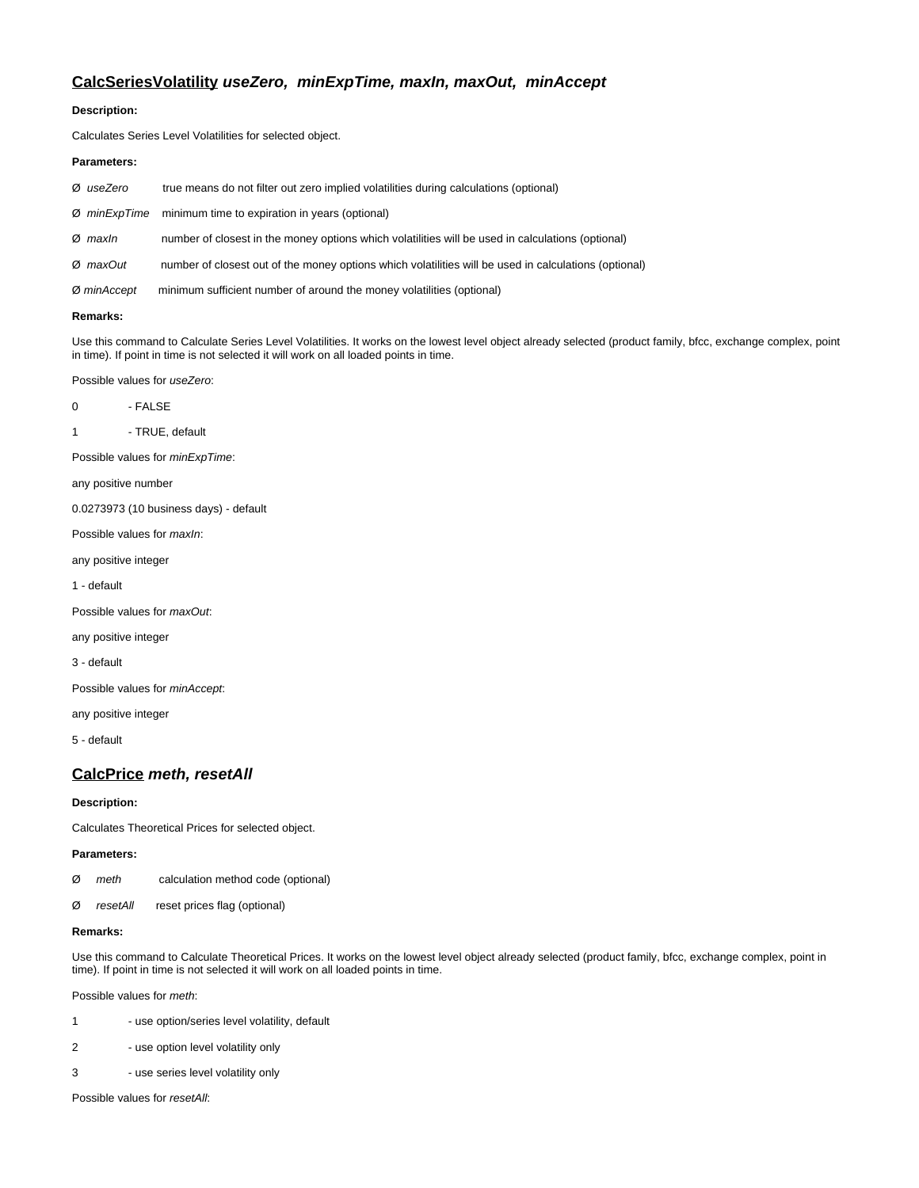## **CalcSeriesVolatility useZero, minExpTime, maxIn, maxOut, minAccept**

### **Description:**

Calculates Series Level Volatilities for selected object.

### **Parameters:**

| Ø useZero | true means do not filter out zero implied volatilities during calculations (optional) |  |
|-----------|---------------------------------------------------------------------------------------|--|

Ø minExpTime minimum time to expiration in years (optional)

Ø maxIn number of closest in the money options which volatilities will be used in calculations (optional)

Ø maxOut number of closest out of the money options which volatilities will be used in calculations (optional)

Ø minAccept minimum sufficient number of around the money volatilities (optional)

### **Remarks:**

Use this command to Calculate Series Level Volatilities. It works on the lowest level object already selected (product family, bfcc, exchange complex, point in time). If point in time is not selected it will work on all loaded points in time.

Possible values for useZero:

0 - FALSE

1 - TRUE, default

Possible values for minExpTime:

any positive number

0.0273973 (10 business days) - default

Possible values for maxIn:

any positive integer

1 - default

Possible values for maxOut:

any positive integer

3 - default

Possible values for minAccept:

any positive integer

5 - default

### <span id="page-11-0"></span>**CalcPrice meth, resetAll**

### **Description:**

Calculates Theoretical Prices for selected object.

#### **Parameters:**

Ø meth calculation method code (optional)

Ø resetAll reset prices flag (optional)

### **Remarks:**

Use this command to Calculate Theoretical Prices. It works on the lowest level object already selected (product family, bfcc, exchange complex, point in time). If point in time is not selected it will work on all loaded points in time.

Possible values for meth:

- 1 use option/series level volatility, default
- 2 use option level volatility only
- 3 use series level volatility only

Possible values for resetAll: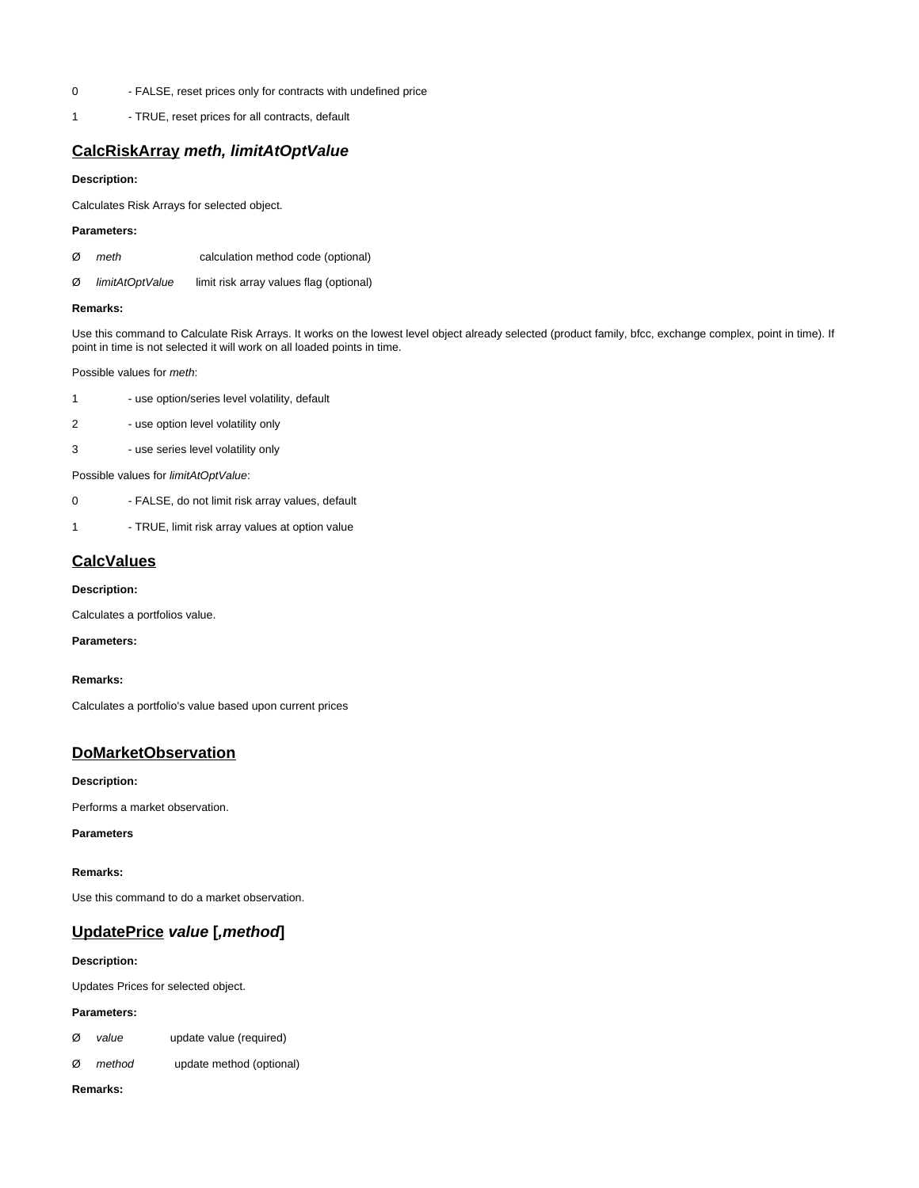- 0 FALSE, reset prices only for contracts with undefined price
- 1 TRUE, reset prices for all contracts, default

### <span id="page-12-0"></span>**CalcRiskArray meth, limitAtOptValue**

### **Description:**

Calculates Risk Arrays for selected object.

### **Parameters:**

- Ø meth calculation method code (optional)
- Ø limitAtOptValue limit risk array values flag (optional)

### **Remarks:**

Use this command to Calculate Risk Arrays. It works on the lowest level object already selected (product family, bfcc, exchange complex, point in time). If point in time is not selected it will work on all loaded points in time.

Possible values for meth:

- 1 use option/series level volatility, default
- 2 use option level volatility only
- 3 use series level volatility only

Possible values for limitAtOptValue:

- 0 FALSE, do not limit risk array values, default
- 1 TRUE, limit risk array values at option value

## <span id="page-12-1"></span>**CalcValues**

**Description:**

Calculates a portfolios value.

### **Parameters:**

**Remarks:**

Calculates a portfolio's value based upon current prices

## <span id="page-12-2"></span>**DoMarketObservation**

### **Description:**

Performs a market observation.

**Parameters**

### **Remarks:**

Use this command to do a market observation.

## <span id="page-12-3"></span>**UpdatePrice value [,method]**

### **Description:**

Updates Prices for selected object.

### **Parameters:**

- Ø value update value (required)
- Ø method update method (optional)

### **Remarks:**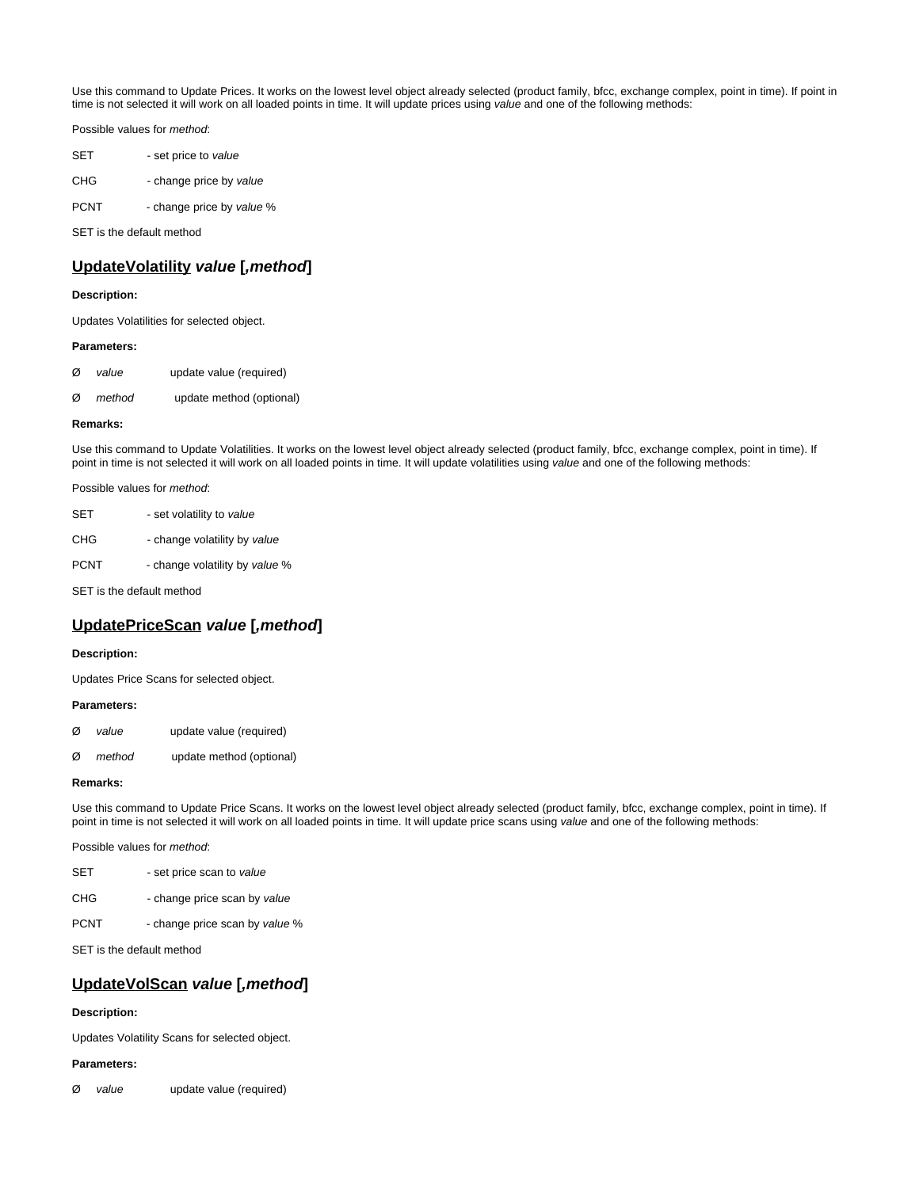Use this command to Update Prices. It works on the lowest level object already selected (product family, bfcc, exchange complex, point in time). If point in time is not selected it will work on all loaded points in time. It will update prices using value and one of the following methods:

Possible values for method:

| SET         | - set price to value      |
|-------------|---------------------------|
| <b>CHG</b>  | - change price by value   |
| <b>PCNT</b> | - change price by value % |

SET is the default method

## <span id="page-13-0"></span>**UpdateVolatility value [,method]**

### **Description:**

Updates Volatilities for selected object.

### **Parameters:**

| Ø | value | update value (required) |
|---|-------|-------------------------|
|---|-------|-------------------------|

Ø method update method (optional)

### **Remarks:**

Use this command to Update Volatilities. It works on the lowest level object already selected (product family, bfcc, exchange complex, point in time). If point in time is not selected it will work on all loaded points in time. It will update volatilities using value and one of the following methods:

| <b>SET</b>  | - set volatility to value      |
|-------------|--------------------------------|
| CHG.        | - change volatility by value   |
| <b>PCNT</b> | - change volatility by value % |

SET is the default method

## <span id="page-13-1"></span>**UpdatePriceScan value [,method]**

### **Description:**

Updates Price Scans for selected object.

### **Parameters:**

- Ø value update value (required)
- Ø method update method (optional)

#### **Remarks:**

Use this command to Update Price Scans. It works on the lowest level object already selected (product family, bfcc, exchange complex, point in time). If point in time is not selected it will work on all loaded points in time. It will update price scans using value and one of the following methods:

Possible values for method:

| <b>SET</b> | - set price scan to value    |
|------------|------------------------------|
| <b>CHG</b> | - change price scan by value |

PCNT - change price scan by value %

SET is the default method

## <span id="page-13-2"></span>**UpdateVolScan value [,method]**

### **Description:**

Updates Volatility Scans for selected object.

### **Parameters:**

Ø value update value (required)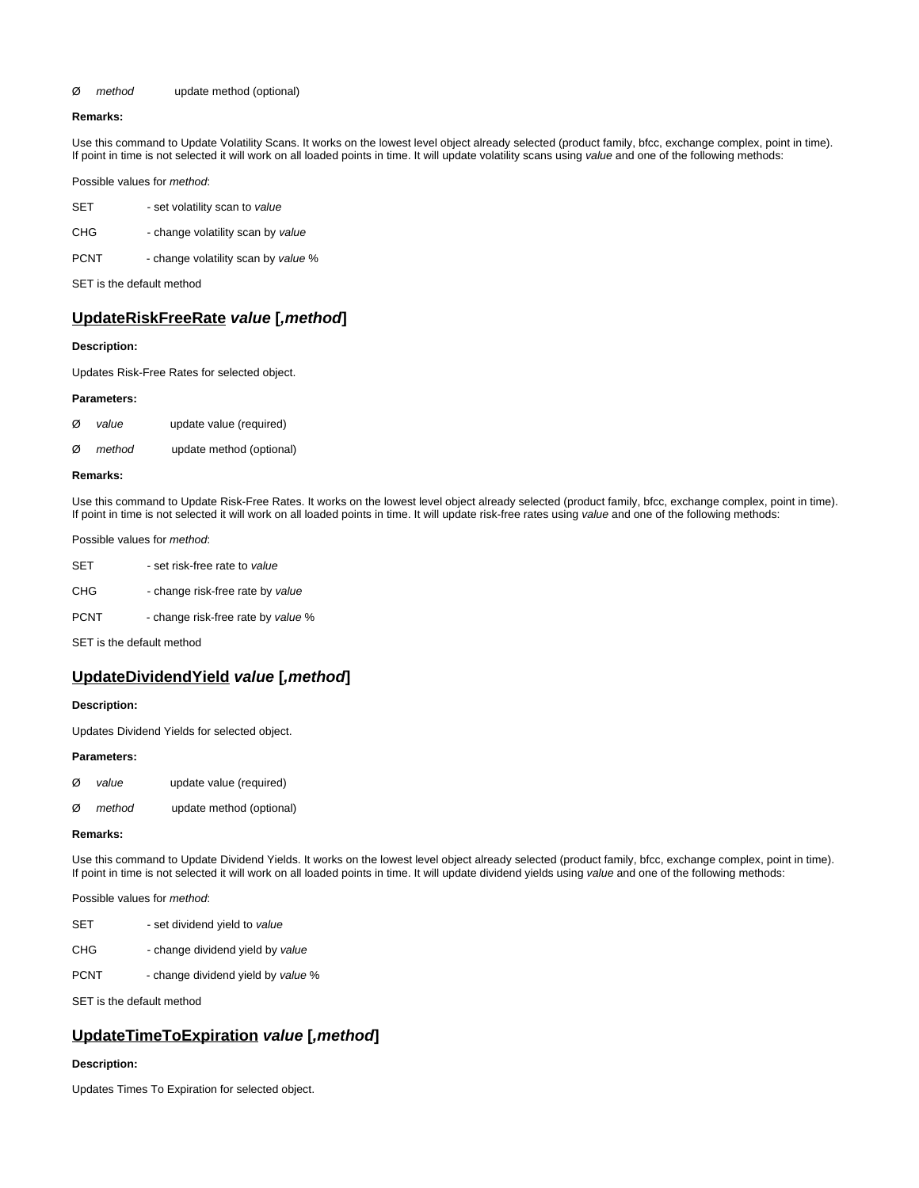### Ø method update method (optional)

#### **Remarks:**

Use this command to Update Volatility Scans. It works on the lowest level object already selected (product family, bfcc, exchange complex, point in time). If point in time is not selected it will work on all loaded points in time. It will update volatility scans using value and one of the following methods:

Possible values for method:

| <b>SET</b> | - set volatility scan to value    |
|------------|-----------------------------------|
| <b>CHG</b> | - change volatility scan by value |

PCNT - change volatility scan by value %

SET is the default method

## <span id="page-14-0"></span>**UpdateRiskFreeRate value [,method]**

### **Description:**

Updates Risk-Free Rates for selected object.

#### **Parameters:**

| Ø | value | update value (required) |  |
|---|-------|-------------------------|--|
|   |       |                         |  |

| Ø | method | update method (optional) |  |
|---|--------|--------------------------|--|
|   |        |                          |  |

### **Remarks:**

Use this command to Update Risk-Free Rates. It works on the lowest level object already selected (product family, bfcc, exchange complex, point in time). If point in time is not selected it will work on all loaded points in time. It will update risk-free rates using value and one of the following methods:

Possible values for method:

| <b>SET</b>  | - set risk-free rate to value      |
|-------------|------------------------------------|
| CHG.        | - change risk-free rate by value   |
| <b>PCNT</b> | - change risk-free rate by value % |

SET is the default method

## <span id="page-14-1"></span>**UpdateDividendYield value [,method]**

### **Description:**

Updates Dividend Yields for selected object.

### **Parameters:**

- Ø value update value (required)
- Ø method update method (optional)

#### **Remarks:**

Use this command to Update Dividend Yields. It works on the lowest level object already selected (product family, bfcc, exchange complex, point in time). If point in time is not selected it will work on all loaded points in time. It will update dividend yields using value and one of the following methods:

Possible values for method:

- SET set dividend yield to value
- CHG change dividend yield by value
- PCNT change dividend yield by value %

SET is the default method

## <span id="page-14-2"></span>**UpdateTimeToExpiration value [,method]**

### **Description:**

Updates Times To Expiration for selected object.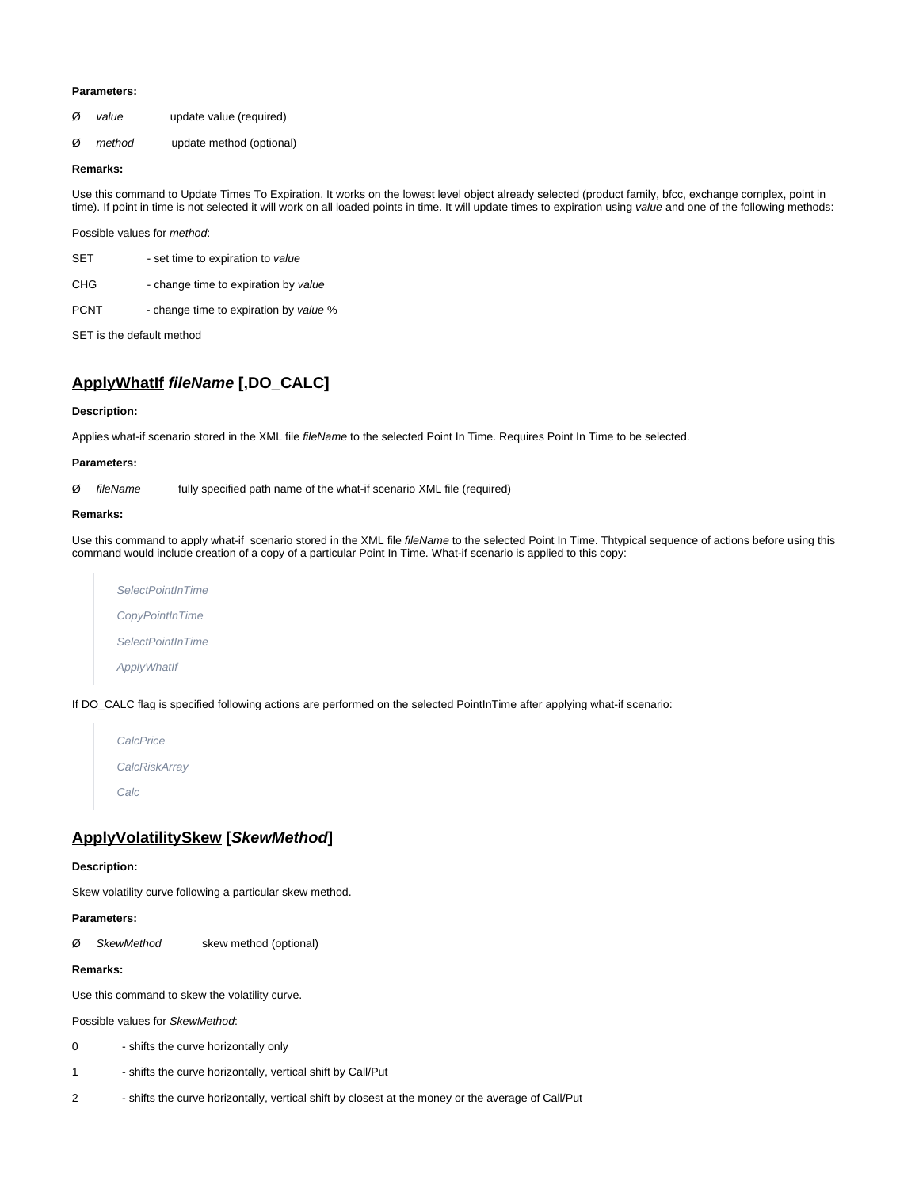### **Parameters:**

- Ø value update value (required)
- Ø method update method (optional)

### **Remarks:**

Use this command to Update Times To Expiration. It works on the lowest level object already selected (product family, bfcc, exchange complex, point in time). If point in time is not selected it will work on all loaded points in time. It will update times to expiration using value and one of the following methods:

Possible values for method:

- SET set time to expiration to value
- CHG change time to expiration by value
- PCNT change time to expiration by value %

SET is the default method

## <span id="page-15-0"></span>**ApplyWhatIf fileName [,DO\_CALC]**

### **Description:**

Applies what-if scenario stored in the XML file fileName to the selected Point In Time. Requires Point In Time to be selected.

### **Parameters:**

Ø fileName fully specified path name of the what-if scenario XML file (required)

### **Remarks:**

Use this command to apply what-if scenario stored in the XML file fileName to the selected Point In Time. Thtypical sequence of actions before using this command would include creation of a copy of a particular Point In Time. What-if scenario is applied to this copy:



If DO\_CALC flag is specified following actions are performed on the selected PointInTime after applying what-if scenario:



## <span id="page-15-1"></span>**ApplyVolatilitySkew [SkewMethod]**

### **Description:**

Skew volatility curve following a particular skew method.

### **Parameters:**

Ø SkewMethod skew method (optional)

### **Remarks:**

Use this command to skew the volatility curve.

Possible values for SkewMethod:

- 0 shifts the curve horizontally only
- 1 shifts the curve horizontally, vertical shift by Call/Put
- 2 shifts the curve horizontally, vertical shift by closest at the money or the average of Call/Put